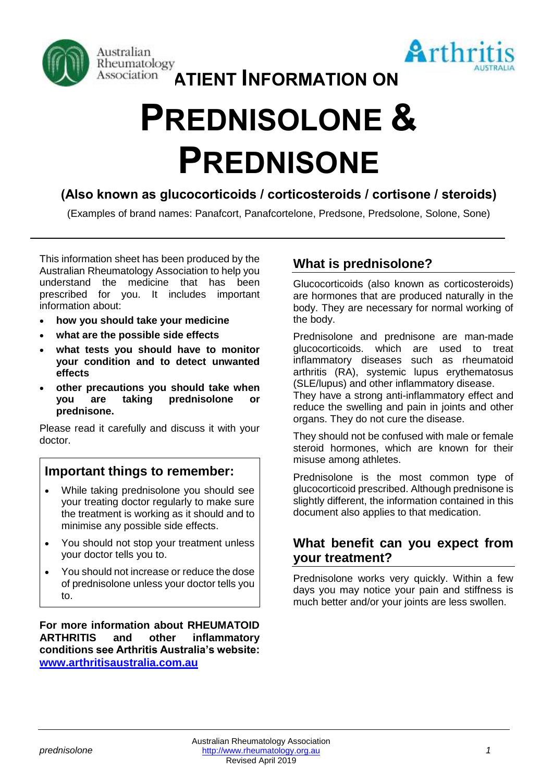



# **Association ATIENT INFORMATION ON**

# **PREDNISOLONE & PREDNISONE**

# **(Also known as glucocorticoids / corticosteroids / cortisone / steroids)**

(Examples of brand names: Panafcort, Panafcortelone, Predsone, Predsolone, Solone, Sone)

This information sheet has been produced by the Australian Rheumatology Association to help you understand the medicine that has been prescribed for you. It includes important information about:

- **how you should take your medicine**
- **what are the possible side effects**
- **what tests you should have to monitor your condition and to detect unwanted effects**
- **other precautions you should take when you are taking prednisolone or prednisone.**

Please read it carefully and discuss it with your doctor.

# **Important things to remember:**

- While taking prednisolone you should see your treating doctor regularly to make sure the treatment is working as it should and to minimise any possible side effects.
- You should not stop your treatment unless your doctor tells you to.
- You should not increase or reduce the dose of prednisolone unless your doctor tells you to.

**For more information about RHEUMATOID ARTHRITIS and other inflammatory conditions see Arthritis Australia's website: [www.arthritisaustralia.com.au](http://www.arthritisaustralia.com.au/)**

# **What is prednisolone?**

Glucocorticoids (also known as corticosteroids) are hormones that are produced naturally in the body. They are necessary for normal working of the body.

Prednisolone and prednisone are man-made glucocorticoids. which are used to treat inflammatory diseases such as rheumatoid arthritis (RA), systemic lupus erythematosus (SLE/lupus) and other inflammatory disease.

They have a strong anti-inflammatory effect and reduce the swelling and pain in joints and other organs. They do not cure the disease.

They should not be confused with male or female steroid hormones, which are known for their misuse among athletes.

Prednisolone is the most common type of glucocorticoid prescribed. Although prednisone is slightly different, the information contained in this document also applies to that medication.

# **What benefit can you expect from your treatment?**

Prednisolone works very quickly. Within a few days you may notice your pain and stiffness is much better and/or your joints are less swollen.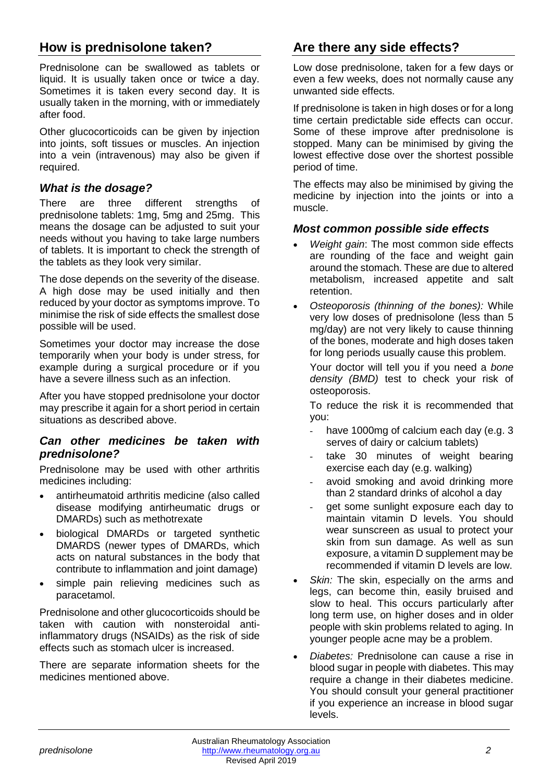# **How is prednisolone taken?**

Prednisolone can be swallowed as tablets or liquid. It is usually taken once or twice a day. Sometimes it is taken every second day. It is usually taken in the morning, with or immediately after food.

Other glucocorticoids can be given by injection into joints, soft tissues or muscles. An injection into a vein (intravenous) may also be given if required.

#### *What is the dosage?*

There are three different strengths of prednisolone tablets: 1mg, 5mg and 25mg. This means the dosage can be adjusted to suit your needs without you having to take large numbers of tablets. It is important to check the strength of the tablets as they look very similar.

The dose depends on the severity of the disease. A high dose may be used initially and then reduced by your doctor as symptoms improve. To minimise the risk of side effects the smallest dose possible will be used.

Sometimes your doctor may increase the dose temporarily when your body is under stress, for example during a surgical procedure or if you have a severe illness such as an infection.

After you have stopped prednisolone your doctor may prescribe it again for a short period in certain situations as described above.

#### *Can other medicines be taken with prednisolone?*

Prednisolone may be used with other arthritis medicines including:

- antirheumatoid arthritis medicine (also called disease modifying antirheumatic drugs or DMARDs) such as methotrexate
- biological DMARDs or targeted synthetic DMARDS (newer types of DMARDs, which acts on natural substances in the body that contribute to inflammation and joint damage)
- simple pain relieving medicines such as paracetamol.

Prednisolone and other glucocorticoids should be taken with caution with nonsteroidal antiinflammatory drugs (NSAIDs) as the risk of side effects such as stomach ulcer is increased.

There are separate information sheets for the medicines mentioned above.

# **Are there any side effects?**

Low dose prednisolone, taken for a few days or even a few weeks, does not normally cause any unwanted side effects.

If prednisolone is taken in high doses or for a long time certain predictable side effects can occur. Some of these improve after prednisolone is stopped. Many can be minimised by giving the lowest effective dose over the shortest possible period of time.

The effects may also be minimised by giving the medicine by injection into the joints or into a muscle.

#### *Most common possible side effects*

- *Weight gain*: The most common side effects are rounding of the face and weight gain around the stomach. These are due to altered metabolism, increased appetite and salt retention.
- *Osteoporosis (thinning of the bones):* While very low doses of prednisolone (less than 5 mg/day) are not very likely to cause thinning of the bones, moderate and high doses taken for long periods usually cause this problem.

Your doctor will tell you if you need a *bone density (BMD)* test to check your risk of osteoporosis.

To reduce the risk it is recommended that you:

- have 1000mg of calcium each day (e.g. 3 serves of dairy or calcium tablets)
- take 30 minutes of weight bearing exercise each day (e.g. walking)
- avoid smoking and avoid drinking more than 2 standard drinks of alcohol a day
- get some sunlight exposure each day to maintain vitamin D levels. You should wear sunscreen as usual to protect your skin from sun damage. As well as sun exposure, a vitamin D supplement may be recommended if vitamin D levels are low.
- Skin: The skin, especially on the arms and legs, can become thin, easily bruised and slow to heal. This occurs particularly after long term use, on higher doses and in older people with skin problems related to aging. In younger people acne may be a problem.
- *Diabetes:* Prednisolone can cause a rise in blood sugar in people with diabetes. This may require a change in their diabetes medicine. You should consult your general practitioner if you experience an increase in blood sugar levels.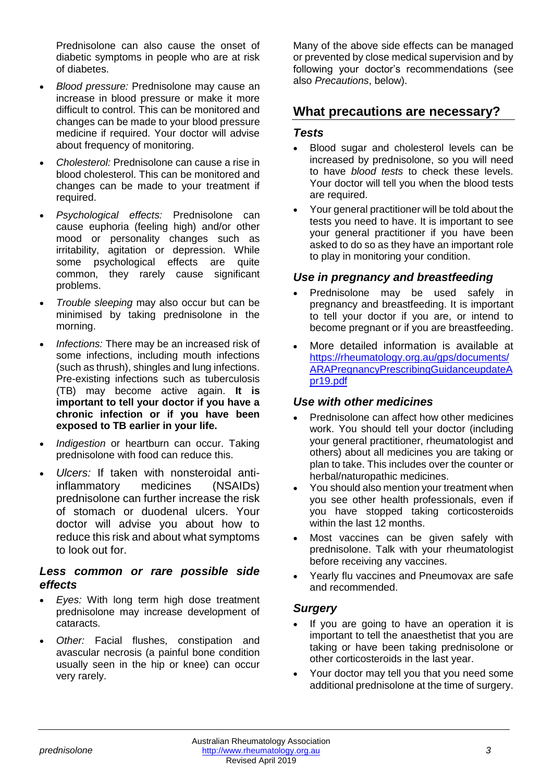Prednisolone can also cause the onset of diabetic symptoms in people who are at risk of diabetes.

- *Blood pressure:* Prednisolone may cause an increase in blood pressure or make it more difficult to control. This can be monitored and changes can be made to your blood pressure medicine if required. Your doctor will advise about frequency of monitoring.
- *Cholesterol:* Prednisolone can cause a rise in blood cholesterol. This can be monitored and changes can be made to your treatment if required.
- *Psychological effects:* Prednisolone can cause euphoria (feeling high) and/or other mood or personality changes such as irritability, agitation or depression. While some psychological effects are quite common, they rarely cause significant problems.
- *Trouble sleeping* may also occur but can be minimised by taking prednisolone in the morning.
- *Infections:* There may be an increased risk of some infections, including mouth infections (such as thrush), shingles and lung infections. Pre-existing infections such as tuberculosis (TB) may become active again. **It is important to tell your doctor if you have a chronic infection or if you have been exposed to TB earlier in your life.**
- *Indigestion* or heartburn can occur. Taking prednisolone with food can reduce this.
- *Ulcers:* If taken with nonsteroidal antiinflammatory medicines (NSAIDs) prednisolone can further increase the risk of stomach or duodenal ulcers. Your doctor will advise you about how to reduce this risk and about what symptoms to look out for.

#### *Less common or rare possible side effects*

- *Eyes:* With long term high dose treatment prednisolone may increase development of cataracts.
- *Other:* Facial flushes, constipation and avascular necrosis (a painful bone condition usually seen in the hip or knee) can occur very rarely.

Many of the above side effects can be managed or prevented by close medical supervision and by following your doctor's recommendations (see also *Precautions*, below).

### **What precautions are necessary?**

#### *Tests*

- Blood sugar and cholesterol levels can be increased by prednisolone, so you will need to have *blood tests* to check these levels. Your doctor will tell you when the blood tests are required.
- Your general practitioner will be told about the tests you need to have. It is important to see your general practitioner if you have been asked to do so as they have an important role to play in monitoring your condition.

#### *Use in pregnancy and breastfeeding*

- Prednisolone may be used safely in pregnancy and breastfeeding. It is important to tell your doctor if you are, or intend to become pregnant or if you are breastfeeding.
- More detailed information is available at [https://rheumatology.org.au/gps/documents/](https://rheumatology.org.au/gps/documents/ARAPregnancyPrescribingGuidanceupdateApr19.pdf) [ARAPregnancyPrescribingGuidanceupdateA](https://rheumatology.org.au/gps/documents/ARAPregnancyPrescribingGuidanceupdateApr19.pdf) [pr19.pdf](https://rheumatology.org.au/gps/documents/ARAPregnancyPrescribingGuidanceupdateApr19.pdf)

#### *Use with other medicines*

- Prednisolone can affect how other medicines work. You should tell your doctor (including your general practitioner, rheumatologist and others) about all medicines you are taking or plan to take. This includes over the counter or herbal/naturopathic medicines.
- You should also mention your treatment when you see other health professionals, even if you have stopped taking corticosteroids within the last 12 months.
- Most vaccines can be given safely with prednisolone. Talk with your rheumatologist before receiving any vaccines.
- Yearly flu vaccines and Pneumovax are safe and recommended.

#### *Surgery*

- If you are going to have an operation it is important to tell the anaesthetist that you are taking or have been taking prednisolone or other corticosteroids in the last year.
- Your doctor may tell you that you need some additional prednisolone at the time of surgery.